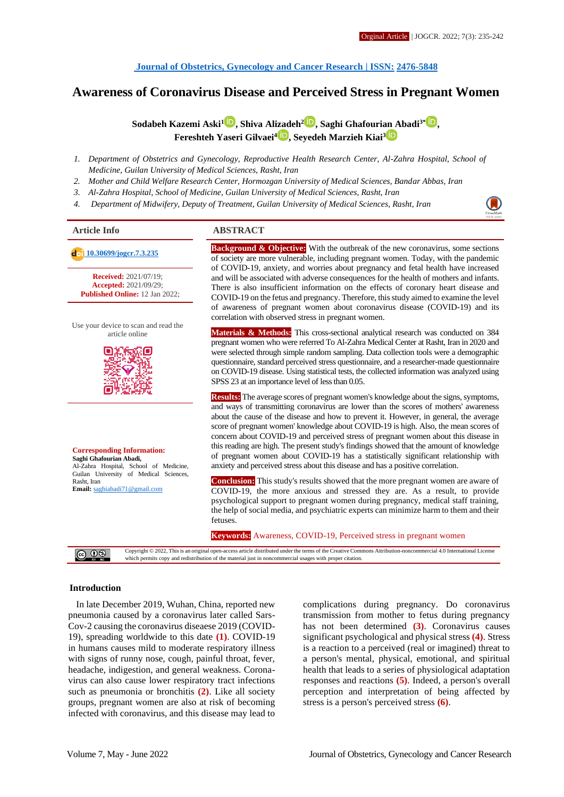# **Awareness of Coronavirus Disease and Perceived Stress in Pregnant Women**

**Sodabeh Kazemi Aski<sup>1</sup> [,](http://orcid.org/0000-0002-3953-2018) Shiva Ali[zad](http://orcid.org/0000-0002-0510-2167)eh[2](http://orcid.org/0000-0002-1230-2685) , Saghi Ghafouri[an A](http://orcid.org/0000-0002-2721-3300)badi3\* [,](http://orcid.org/0000-0002-1542-6667) Fereshteh Yaseri Gilvaei<sup>4</sup> , Seyedeh Marzieh Kiai<sup>3</sup>**

- *1. Department of Obstetrics and Gynecology, Reproductive Health Research Center, Al-Zahra Hospital, School of Medicine, Guilan University of Medical Sciences, Rasht, Iran*
- *2. Mother and Child Welfare Research Center, Hormozgan University of Medical Sciences, Bandar Abbas, Iran*
- *3. Al-Zahra Hospital, School of Medicine, Guilan University of Medical Sciences, Rasht, Iran*
- *4. Department of Midwifery, Deputy of Treatment, Guilan University of Medical Sciences, Rasht, Iran*

**Received:** 2021/07/19; **Accepted:** 2021/09/29; **Published Online:** 12 Jan 2022;

Use your device to scan and read the article online



**Corresponding Information: Saghi Ghafourian Abadi,** Al-Zahra Hospital, School of Medicine, Guilan University of Medical Sciences, Rasht, Iran **Email:** [saghiabadi71@gmail.com](mailto:saghiabadi71@gmail.com)

#### **Article Info ABSTRACT**

**10.30699/joger.7.3.235 Background & Objective:** With the outbreak of the new coronavirus, some sections **Background & Objective:** With the new coronavirus, some sections of society are more vulnerable, including pregnant women. Today, with the pandemic of COVID-19, anxiety, and worries about pregnancy and fetal health have increased and will be associated with adverse consequences for the health of mothers and infants. There is also insufficient information on the effects of coronary heart disease and COVID-19 on the fetus and pregnancy. Therefore, this study aimed to examine the level of awareness of pregnant women about coronavirus disease (COVID-19) and its correlation with observed stress in pregnant women.

> **Materials & Methods:** This cross-sectional analytical research was conducted on 384 pregnant women who were referred To Al-Zahra Medical Center at Rasht, Iran in 2020 and were selected through simple random sampling. Data collection tools were a demographic questionnaire, standard perceived stress questionnaire, and a researcher-made questionnaire on COVID-19 disease. Using statistical tests, the collected information was analyzed using SPSS 23 at an importance level of less than 0.05.

> **Results:** The average scores of pregnant women's knowledge about the signs, symptoms, and ways of transmitting coronavirus are lower than the scores of mothers' awareness about the cause of the disease and how to prevent it. However, in general, the average score of pregnant women' knowledge about COVID-19 is high. Also, the mean scores of concern about COVID-19 and perceived stress of pregnant women about this disease in this reading are high. The present study's findings showed that the amount of knowledge of pregnant women about COVID-19 has a statistically significant relationship with anxiety and perceived stress about this disease and has a positive correlation.

> **Conclusion:** This study's results showed that the more pregnant women are aware of COVID-19, the more anxious and stressed they are. As a result, to provide psychological support to pregnant women during pregnancy, medical staff training, the help of social media, and psychiatric experts can minimize harm to them and their fetuses.

#### **Keywords:** Awareness, COVID-19, Perceived stress in pregnant women

Copyright © 2022, This is an original open-access article distributed under the terms of the Creative Commons Attribution-noncommercial 4.0 International License which permits copy and redistribution of the material just in noncommercial usages with proper citation.

#### **Introduction**

In late December 2019, Wuhan, China, reported new pneumonia caused by a coronavirus later called Sars-Cov-2 causing the coronavirus diseaese 2019 (COVID-19), spreading worldwide to this date **(1)**. COVID-19 in humans causes mild to moderate respiratory illness with signs of runny nose, cough, painful throat, fever, headache, indigestion, and general weakness. Coronavirus can also cause lower respiratory tract infections such as pneumonia or bronchitis **(2)**. Like all society groups, pregnant women are also at risk of becoming infected with coronavirus, and this disease may lead to

complications during pregnancy. Do coronavirus transmission from mother to fetus during pregnancy has not been determined **(3)**. Coronavirus causes significant psychological and physical stress **(4)**. Stress is a reaction to a perceived (real or imagined) threat to a person's mental, physical, emotional, and spiritual health that leads to a series of physiological adaptation responses and reactions **(5)**. Indeed, a person's overall perception and interpretation of being affected by stress is a person's perceived stress **(6)**.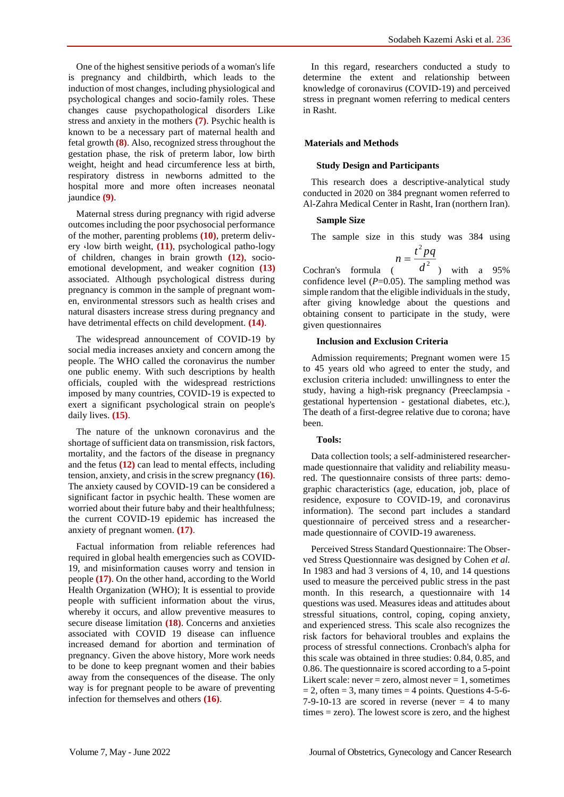One of the highest sensitive periods of a woman's life is pregnancy and childbirth, which leads to the induction of most changes, including physiological and psychological changes and socio-family roles. These changes cause psychopathological disorders Like stress and anxiety in the mothers **(7)**. Psychic health is known to be a necessary part of maternal health and fetal growth **(8)**. Also, recognized stress throughout the gestation phase, the risk of preterm labor, low birth weight, height and head circumference less at birth, respiratory distress in newborns admitted to the hospital more and more often increases neonatal jaundice **(9)**.

Maternal stress during pregnancy with rigid adverse outcomes including the poor psychosocial performance of the mother, parenting problems **(10)**, preterm delivery ،low birth weight, **(11)**, psychological patho-logy of children, changes in brain growth **(12)**, socioemotional development, and weaker cognition **(13)** associated. Although psychological distress during pregnancy is common in the sample of pregnant women, environmental stressors such as health crises and natural disasters increase stress during pregnancy and have detrimental effects on child development. **(14)**.

The widespread announcement of COVID-19 by social media increases anxiety and concern among the people. The WHO called the coronavirus the number one public enemy. With such descriptions by health officials, coupled with the widespread restrictions imposed by many countries, COVID-19 is expected to exert a significant psychological strain on people's daily lives. **(15)**.

The nature of the unknown coronavirus and the shortage of sufficient data on transmission, risk factors, mortality, and the factors of the disease in pregnancy and the fetus **(12)** can lead to mental effects, including tension, anxiety, and crisis in the screw pregnancy **(16)**. The anxiety caused by COVID-19 can be considered a significant factor in psychic health. These women are worried about their future baby and their healthfulness; the current COVID-19 epidemic has increased the anxiety of pregnant women. **(17)**.

Factual information from reliable references had required in global health emergencies such as COVID-19, and misinformation causes worry and tension in people **(17)**. On the other hand, according to the World Health Organization (WHO); It is essential to provide people with sufficient information about the virus, whereby it occurs, and allow preventive measures to secure disease limitation **(18)**. Concerns and anxieties associated with COVID 19 disease can influence increased demand for abortion and termination of pregnancy. Given the above history, More work needs to be done to keep pregnant women and their babies away from the consequences of the disease. The only way is for pregnant people to be aware of preventing infection for themselves and others **(16)**.

In this regard, researchers conducted a study to determine the extent and relationship between knowledge of coronavirus (COVID-19) and perceived stress in pregnant women referring to medical centers in Rasht.

# **Materials and Methods**

#### **Study Design and Participants**

This research does a descriptive-analytical study conducted in 2020 on 384 pregnant women referred to Al-Zahra Medical Center in Rasht, Iran (northern Iran).

### **Sample Size**

The sample size in this study was 384 using

$$
n = \frac{t^2 pq}{l^2}
$$

Cochran's formula  $\begin{pmatrix} d^2 \end{pmatrix}$  with a 95% confidence level  $(P=0.05)$ . The sampling method was simple random that the eligible individuals in the study, after giving knowledge about the questions and obtaining consent to participate in the study, were given questionnaires

### **Inclusion and Exclusion Criteria**

Admission requirements; Pregnant women were 15 to 45 years old who agreed to enter the study, and exclusion criteria included: unwillingness to enter the study, having a high-risk pregnancy (Preeclampsia gestational hypertension - gestational diabetes, etc.), The death of a first-degree relative due to corona; have been.

# **Tools:**

Data collection tools; a self-administered researchermade questionnaire that validity and reliability measured. The questionnaire consists of three parts: demographic characteristics (age, education, job, place of residence, exposure to COVID-19, and coronavirus information). The second part includes a standard questionnaire of perceived stress and a researchermade questionnaire of COVID-19 awareness.

Perceived Stress Standard Questionnaire: The Observed Stress Questionnaire was designed by Cohen *et al.* In 1983 and had 3 versions of 4, 10, and 14 questions used to measure the perceived public stress in the past month. In this research, a questionnaire with 14 questions was used. Measures ideas and attitudes about stressful situations, control, coping, coping anxiety, and experienced stress. This scale also recognizes the risk factors for behavioral troubles and explains the process of stressful connections. Cronbach's alpha for this scale was obtained in three studies: 0.84, 0.85, and 0.86. The questionnaire is scored according to a 5-point Likert scale: never = zero, almost never = 1, sometimes  $= 2$ , often  $= 3$ , many times  $= 4$  points. Questions 4-5-6-7-9-10-13 are scored in reverse (never  $= 4$  to many times = zero). The lowest score is zero, and the highest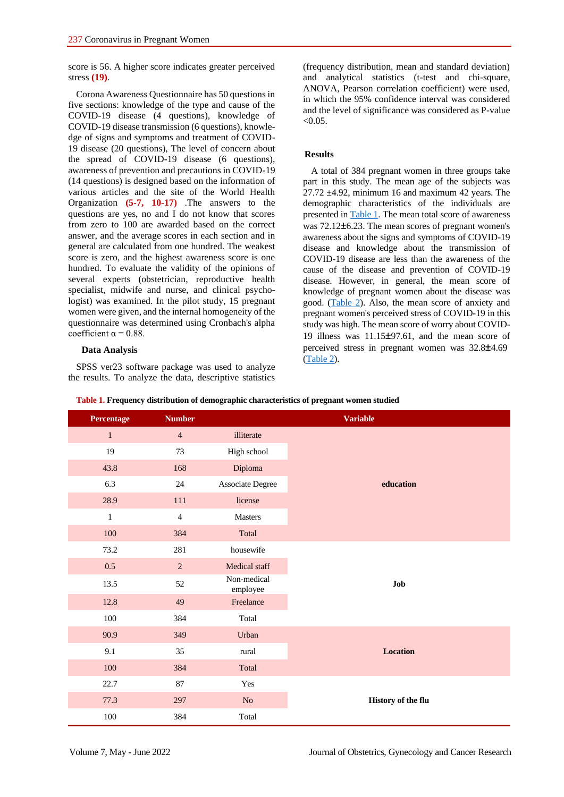score is 56. A higher score indicates greater perceived stress **(19)**.

Corona Awareness Questionnaire has 50 questions in five sections: knowledge of the type and cause of the COVID-19 disease (4 questions), knowledge of COVID-19 disease transmission (6 questions), knowledge of signs and symptoms and treatment of COVID-19 disease (20 questions), The level of concern about the spread of COVID-19 disease (6 questions), awareness of prevention and precautions in COVID-19 (14 questions) is designed based on the information of various articles and the site of the World Health Organization **(5-7, 10-17)** .The answers to the questions are yes, no and I do not know that scores from zero to 100 are awarded based on the correct answer, and the average scores in each section and in general are calculated from one hundred. The weakest score is zero, and the highest awareness score is one hundred. To evaluate the validity of the opinions of several experts (obstetrician, reproductive health specialist, midwife and nurse, and clinical psychologist) was examined. In the pilot study, 15 pregnant women were given, and the internal homogeneity of the questionnaire was determined using Cronbach's alpha coefficient  $\alpha = 0.88$ .

# **Data Analysis**

SPSS ver23 software package was used to analyze the results. To analyze the data, descriptive statistics (frequency distribution, mean and standard deviation) and analytical statistics (t-test and chi-square, ANOVA, Pearson correlation coefficient) were used, in which the 95% confidence interval was considered and the level of significance was considered as P-value  $< 0.05$ .

# **Results**

A total of 384 pregnant women in three groups take part in this study. The mean age of the subjects was  $27.72 \pm 4.92$ , minimum 16 and maximum 42 years. The demographic characteristics of the individuals are presented in [Table 1.](#page-2-0) The mean total score of awareness was 72.12 $\pm$ 6.23. The mean scores of pregnant women's awareness about the signs and symptoms of COVID-19 disease and knowledge about the transmission of COVID-19 disease are less than the awareness of the cause of the disease and prevention of COVID-19 disease. However, in general, the mean score of knowledge of pregnant women about the disease was good. [\(Table 2\)](#page-3-0). Also, the mean score of anxiety and pregnant women's perceived stress of COVID-19 in this study was high. The mean score of worry about COVID-19 illness was  $11.15\pm97.61$ , and the mean score of perceived stress in pregnant women was  $32.8 \pm 4.69$ [\(Table 2\)](#page-3-0).

| <b>Percentage</b> | <b>Number</b>  |                         | <b>Variable</b>    |
|-------------------|----------------|-------------------------|--------------------|
| $\mathbf{1}$      | $\overline{4}$ | illiterate              |                    |
| 19                | 73             | High school             |                    |
| 43.8              | 168            | Diploma                 |                    |
| 6.3               | 24             | <b>Associate Degree</b> | education          |
| 28.9              | 111            | license                 |                    |
| $\mathbf{1}$      | $\overline{4}$ | Masters                 |                    |
| 100               | 384            | Total                   |                    |
| 73.2              | 281            | housewife               |                    |
| $0.5\,$           | $\overline{2}$ | Medical staff           |                    |
| 13.5              | 52             | Non-medical<br>employee | Job                |
| 12.8              | 49             | Freelance               |                    |
| 100               | 384            | Total                   |                    |
| 90.9              | 349            | Urban                   |                    |
| 9.1               | 35             | rural                   | Location           |
| 100               | 384            | Total                   |                    |
| 22.7              | 87             | Yes                     |                    |
| 77.3              | 297            | N <sub>o</sub>          | History of the flu |
| $100\,$           | 384            | Total                   |                    |

<span id="page-2-0"></span>**Table 1. Frequency distribution of demographic characteristics of pregnant women studied**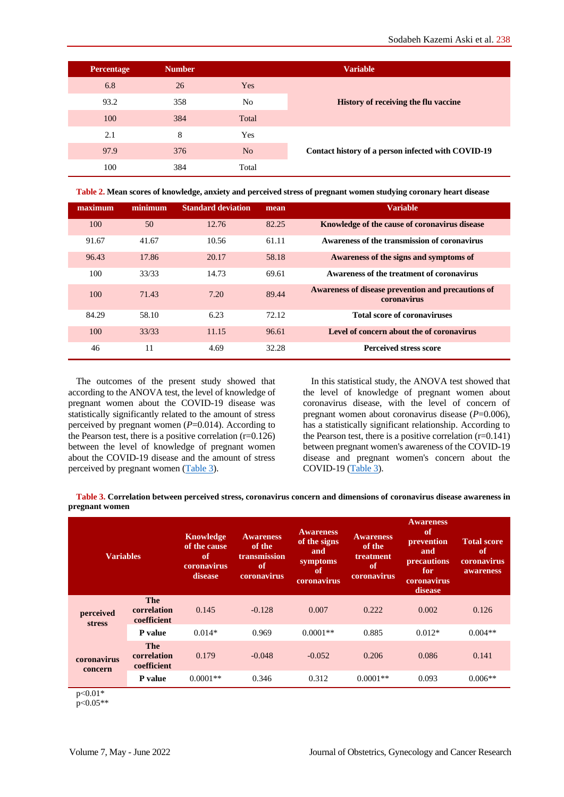| <b>Percentage</b> | <b>Number</b> |                | <b>Variable</b>                                    |
|-------------------|---------------|----------------|----------------------------------------------------|
| 6.8               | 26            | Yes            |                                                    |
| 93.2              | 358           | No             | <b>History of receiving the flu vaccine</b>        |
| 100               | 384           | Total          |                                                    |
| 2.1               | 8             | Yes            |                                                    |
| 97.9              | 376           | N <sub>0</sub> | Contact history of a person infected with COVID-19 |
| 100               | 384           | Total          |                                                    |

<span id="page-3-0"></span>**Table 2. Mean scores of knowledge, anxiety and perceived stress of pregnant women studying coronary heart disease**

| <b>Variable</b>                                                   | mean  | <b>Standard deviation</b> | minimum | maximum |
|-------------------------------------------------------------------|-------|---------------------------|---------|---------|
| Knowledge of the cause of coronavirus disease                     | 82.25 | 12.76                     | 50      | 100     |
| Awareness of the transmission of coronavirus                      | 61.11 | 10.56                     | 41.67   | 91.67   |
| Awareness of the signs and symptoms of                            | 58.18 | 20.17                     | 17.86   | 96.43   |
| Awareness of the treatment of coronavirus                         | 69.61 | 14.73                     | 33/33   | 100     |
| Awareness of disease prevention and precautions of<br>coronavirus | 89.44 | 7.20                      | 71.43   | 100     |
| <b>Total score of coronaviruses</b>                               | 72.12 | 6.23                      | 58.10   | 84.29   |
| Level of concern about the of coronavirus                         | 96.61 | 11.15                     | 33/33   | 100     |
| <b>Perceived stress score</b>                                     | 32.28 | 4.69                      | 11      | 46      |

The outcomes of the present study showed that according to the ANOVA test, the level of knowledge of pregnant women about the COVID-19 disease was statistically significantly related to the amount of stress perceived by pregnant women (*P*=0.014). According to the Pearson test, there is a positive correlation  $(r=0.126)$ between the level of knowledge of pregnant women about the COVID-19 disease and the amount of stress perceived by pregnant women [\(Table 3\)](#page-3-1).

In this statistical study, the ANOVA test showed that the level of knowledge of pregnant women about coronavirus disease, with the level of concern of pregnant women about coronavirus disease (*P*=0.006), has a statistically significant relationship. According to the Pearson test, there is a positive correlation  $(r=0.141)$ between pregnant women's awareness of the COVID-19 disease and pregnant women's concern about the COVID-19  $(Table 3)$ .

<span id="page-3-1"></span>**Table 3. Correlation between perceived stress, coronavirus concern and dimensions of coronavirus disease awareness in pregnant women**

| <b>Variables</b>            |                                   | Knowledge<br>of the cause<br>of<br>coronavirus<br>disease | <b>Awareness</b><br>of the<br>transmission<br><b>of</b><br>coronavirus | <b>Awareness</b><br>of the signs<br>and<br>symptoms<br>of<br>coronavirus | <b>Awareness</b><br>of the<br>treatment<br>of<br>coronavirus | <b>Awareness</b><br>of<br>prevention<br>and<br>precautions<br>for<br>coronavirus<br>disease | <b>Total score</b><br>of<br>coronavirus<br>awareness |
|-----------------------------|-----------------------------------|-----------------------------------------------------------|------------------------------------------------------------------------|--------------------------------------------------------------------------|--------------------------------------------------------------|---------------------------------------------------------------------------------------------|------------------------------------------------------|
| perceived<br><b>stress</b>  | The<br>correlation<br>coefficient | 0.145                                                     | $-0.128$                                                               | 0.007                                                                    | 0.222                                                        | 0.002                                                                                       | 0.126                                                |
|                             | P value                           | $0.014*$                                                  | 0.969                                                                  | $0.0001**$                                                               | 0.885                                                        | $0.012*$                                                                                    | $0.004**$                                            |
| coronavirus<br>concern      | The<br>correlation<br>coefficient | 0.179                                                     | $-0.048$                                                               | $-0.052$                                                                 | 0.206                                                        | 0.086                                                                                       | 0.141                                                |
|                             | P value                           | $0.0001**$                                                | 0.346                                                                  | 0.312                                                                    | $0.0001**$                                                   | 0.093                                                                                       | $0.006**$                                            |
| $\sim$ $\sim$ $\sim$ $\sim$ |                                   |                                                           |                                                                        |                                                                          |                                                              |                                                                                             |                                                      |

 $p<0.01*$ 

p<0.05\*\*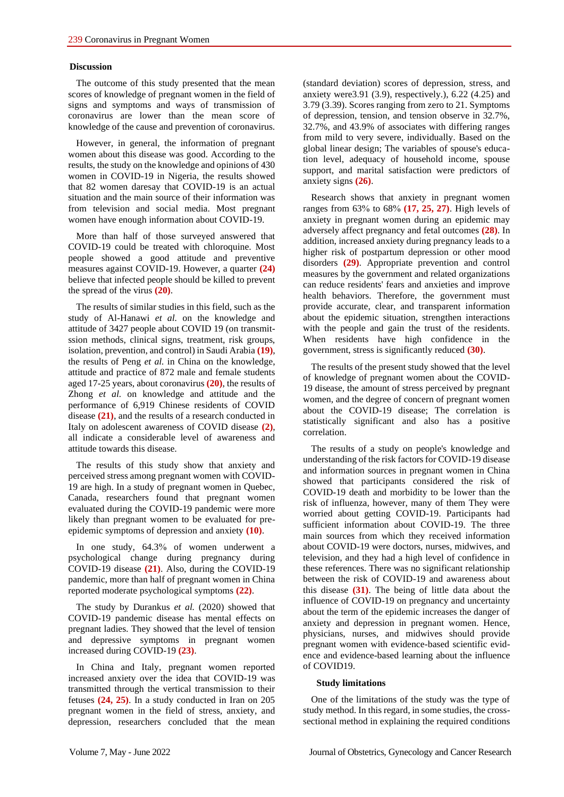# **Discussion**

The outcome of this study presented that the mean scores of knowledge of pregnant women in the field of signs and symptoms and ways of transmission of coronavirus are lower than the mean score of knowledge of the cause and prevention of coronavirus.

However, in general, the information of pregnant women about this disease was good. According to the results, the study on the knowledge and opinions of 430 women in COVID-19 in Nigeria, the results showed that 82 women daresay that COVID-19 is an actual situation and the main source of their information was from television and social media. Most pregnant women have enough information about COVID-19.

More than half of those surveyed answered that COVID-19 could be treated with chloroquine. Most people showed a good attitude and preventive measures against COVID-19. However, a quarter **(24)** believe that infected people should be killed to prevent the spread of the virus **(20)**.

The results of similar studies in this field, such as the study of Al-Hanawi *et al.* on the knowledge and attitude of 3427 people about COVID 19 (on transmitssion methods, clinical signs, treatment, risk groups, isolation, prevention, and control) in Saudi Arabia **(19)**, the results of Peng *et al.* in China on the knowledge, attitude and practice of 872 male and female students aged 17-25 years, about coronavirus **(20)**, the results of Zhong *et al.* on knowledge and attitude and the performance of 6,919 Chinese residents of COVID disease **(21)**, and the results of a research conducted in Italy on adolescent awareness of COVID disease **(2)**, all indicate a considerable level of awareness and attitude towards this disease.

The results of this study show that anxiety and perceived stress among pregnant women with COVID-19 are high. In a study of pregnant women in Quebec, Canada, researchers found that pregnant women evaluated during the COVID-19 pandemic were more likely than pregnant women to be evaluated for preepidemic symptoms of depression and anxiety **(10)**.

In one study, 64.3% of women underwent a psychological change during pregnancy during COVID-19 disease **(21)**. Also, during the COVID-19 pandemic, more than half of pregnant women in China reported moderate psychological symptoms **(22)**.

The study by Durankus *et al.* (2020) showed that COVID-19 pandemic disease has mental effects on pregnant ladies. They showed that the level of tension and depressive symptoms in pregnant women increased during COVID-19 **(23)**.

In China and Italy, pregnant women reported increased anxiety over the idea that COVID-19 was transmitted through the vertical transmission to their fetuses **(24, 25)**. In a study conducted in Iran on 205 pregnant women in the field of stress, anxiety, and depression, researchers concluded that the mean (standard deviation) scores of depression, stress, and anxiety were 3.91 (3.9), respectively.),  $6.22$  (4.25) and 3.79 (3.39). Scores ranging from zero to 21. Symptoms of depression, tension, and tension observe in 32.7%, 32.7%, and 43.9% of associates with differing ranges from mild to very severe, individually. Based on the global linear design; The variables of spouse's education level, adequacy of household income, spouse support, and marital satisfaction were predictors of anxiety signs **(26)**.

Research shows that anxiety in pregnant women ranges from 63% to 68% **(17, 25, 27)**. High levels of anxiety in pregnant women during an epidemic may adversely affect pregnancy and fetal outcomes **(28)**. In addition, increased anxiety during pregnancy leads to a higher risk of postpartum depression or other mood disorders **(29)**. Appropriate prevention and control measures by the government and related organizations can reduce residents' fears and anxieties and improve health behaviors. Therefore, the government must provide accurate, clear, and transparent information about the epidemic situation, strengthen interactions with the people and gain the trust of the residents. When residents have high confidence in the government, stress is significantly reduced **(30)**.

The results of the present study showed that the level of knowledge of pregnant women about the COVID-19 disease, the amount of stress perceived by pregnant women, and the degree of concern of pregnant women about the COVID-19 disease; The correlation is statistically significant and also has a positive correlation.

The results of a study on people's knowledge and understanding of the risk factors for COVID-19 disease and information sources in pregnant women in China showed that participants considered the risk of COVID-19 death and morbidity to be lower than the risk of influenza, however, many of them They were worried about getting COVID-19. Participants had sufficient information about COVID-19. The three main sources from which they received information about COVID-19 were doctors, nurses, midwives, and television, and they had a high level of confidence in these references. There was no significant relationship between the risk of COVID-19 and awareness about this disease **(31)**. The being of little data about the influence of COVID-19 on pregnancy and uncertainty about the term of the epidemic increases the danger of anxiety and depression in pregnant women. Hence, physicians, nurses, and midwives should provide pregnant women with evidence-based scientific evidence and evidence-based learning about the influence of COVID19.

#### **Study limitations**

One of the limitations of the study was the type of study method. In this regard, in some studies, the crosssectional method in explaining the required conditions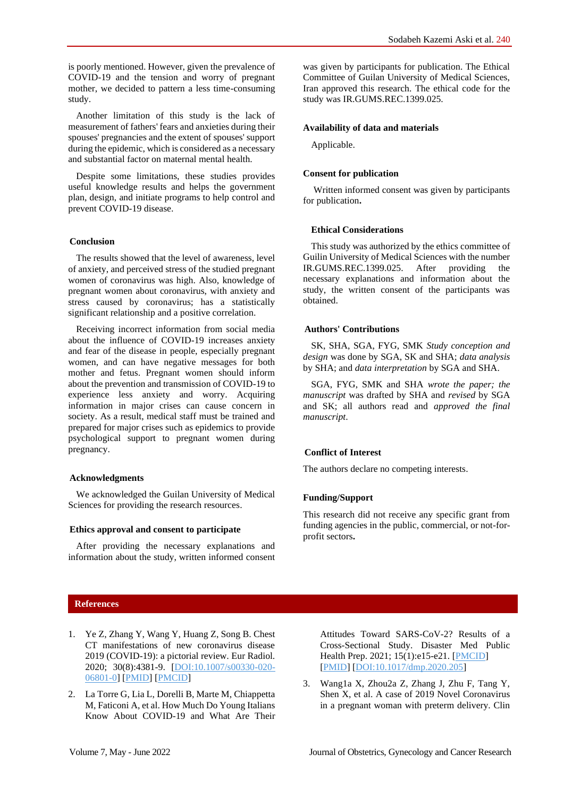Another limitation of this study is the lack of measurement of fathers' fears and anxieties during their spouses' pregnancies and the extent of spouses' support during the epidemic, which is considered as a necessary and substantial factor on maternal mental health.

Despite some limitations, these studies provides useful knowledge results and helps the government plan, design, and initiate programs to help control and prevent COVID-19 disease.

# **Conclusion**

The results showed that the level of awareness, level of anxiety, and perceived stress of the studied pregnant women of coronavirus was high. Also, knowledge of pregnant women about coronavirus, with anxiety and stress caused by coronavirus; has a statistically significant relationship and a positive correlation.

Receiving incorrect information from social media about the influence of COVID-19 increases anxiety and fear of the disease in people, especially pregnant women, and can have negative messages for both mother and fetus. Pregnant women should inform about the prevention and transmission of COVID-19 to experience less anxiety and worry. Acquiring information in major crises can cause concern in society. As a result, medical staff must be trained and prepared for major crises such as epidemics to provide psychological support to pregnant women during pregnancy.

# **Acknowledgments**

We acknowledged the Guilan University of Medical Sciences for providing the research resources.

# **Ethics approval and consent to participate**

After providing the necessary explanations and information about the study, written informed consent was given by participants for publication. The Ethical Committee of Guilan University of Medical Sciences, Iran approved this research. The ethical code for the study was IR.GUMS.REC.1399.025.

### **Availability of data and materials**

Applicable.

#### **Consent for publication**

Written informed consent was given by participants for publication**.**

#### **Ethical Considerations**

This study was authorized by the ethics committee of Guilin University of Medical Sciences with the number IR.GUMS.REC.1399.025. After providing the necessary explanations and information about the study, the written consent of the participants was obtained.

# **Authors' Contributions**

SK, SHA, SGA, FYG, SMK *Study conception and design* was done by SGA, SK and SHA; *data analysis* by SHA; and *data interpretation* by SGA and SHA.

SGA, FYG, SMK and SHA *wrote the paper; the manuscript* was drafted by SHA and *revised* by SGA and SK; all authors read and *approved the final manuscript*.

# **Conflict of Interest**

The authors declare no competing interests.

# **Funding/Support**

This research did not receive any specific grant from funding agencies in the public, commercial, or not-forprofit sectors**.**

# **References**

- 1. Ye Z, Zhang Y, Wang Y, Huang Z, Song B. Chest CT manifestations of new coronavirus disease 2019 (COVID-19): a pictorial review. Eur Radiol. 2020; 30(8):4381-9. [\[DOI:10.1007/s00330-020-](https://doi.org/10.1007/s00330-020-06801-0) [06801-0\]](https://doi.org/10.1007/s00330-020-06801-0) [\[PMID\]](https://www.ncbi.nlm.nih.gov/pubmed/32193638) [\[PMCID\]](http://www.ncbi.nlm.nih.gov/pmc/articles/PMC7088323)
- 2. La Torre G, Lia L, Dorelli B, Marte M, Chiappetta M, Faticoni A, et al. How Much Do Young Italians Know About COVID-19 and What Are Their

Attitudes Toward SARS-CoV-2? Results of a Cross-Sectional Study. Disaster Med Public Health Prep. 2021; 15(1):e15-e21. [\[PMCID\]](http://www.ncbi.nlm.nih.gov/pmc/articles/PMC7385315) [\[PMID\]](https://www.ncbi.nlm.nih.gov/pubmed/32576335) [\[DOI:10.1017/dmp.2020.205\]](https://doi.org/10.1017/dmp.2020.205)

3. Wang1a X, Zhou2a Z, Zhang J, Zhu F, Tang Y, Shen X, et al. A case of 2019 Novel Coronavirus in a pregnant woman with preterm delivery. Clin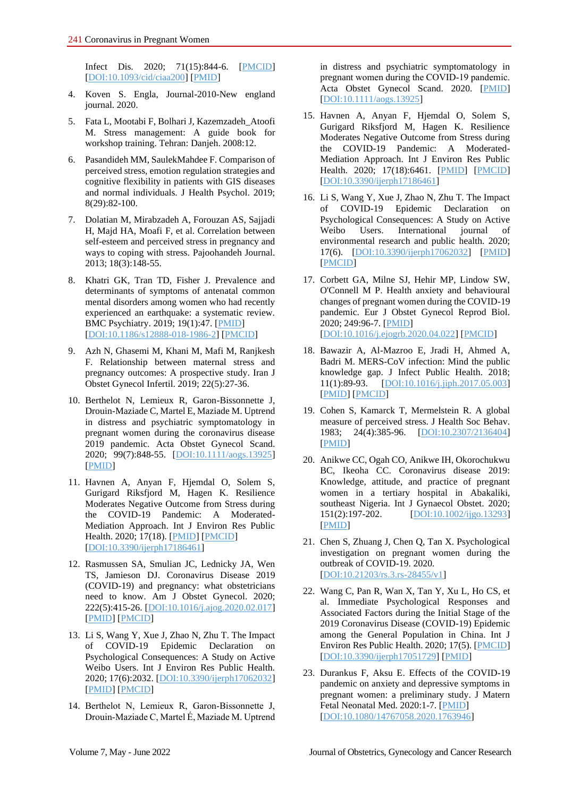Infect Dis. 2020; 71(15):844-6. [\[PMCID\]](http://www.ncbi.nlm.nih.gov/pmc/articles/PMC7108126) [\[DOI:10.1093/cid/ciaa200\]](https://doi.org/10.1093/cid/ciaa200) [\[PMID\]](https://www.ncbi.nlm.nih.gov/pubmed/32119083)

- 4. Koven S. Engla, Journal-2010-New england journal. 2020.
- 5. Fata L, Mootabi F, Bolhari J, Kazemzadeh\_Atoofi M. Stress management: A guide book for workshop training. Tehran: Danjeh. 2008:12.
- 6. Pasandideh MM, SaulekMahdee F. Comparison of perceived stress, emotion regulation strategies and cognitive flexibility in patients with GIS diseases and normal individuals. J Health Psychol. 2019; 8(29):82-100.
- 7. Dolatian M, Mirabzadeh A, Forouzan AS, Sajjadi H, Majd HA, Moafi F, et al. Correlation between self-esteem and perceived stress in pregnancy and ways to coping with stress. Pajoohandeh Journal. 2013; 18(3):148-55.
- 8. Khatri GK, Tran TD, Fisher J. Prevalence and determinants of symptoms of antenatal common mental disorders among women who had recently experienced an earthquake: a systematic review. BMC Psychiatry. 2019; 19(1):47. [\[PMID\]](https://www.ncbi.nlm.nih.gov/pubmed/30691424) [\[DOI:10.1186/s12888-018-1986-2\]](https://doi.org/10.1186/s12888-018-1986-2) [\[PMCID\]](http://www.ncbi.nlm.nih.gov/pmc/articles/PMC6348613)
- 9. Azh N, Ghasemi M, Khani M, Mafi M, Ranjkesh F. Relationship between maternal stress and pregnancy outcomes: A prospective study. Iran J Obstet Gynecol Infertil. 2019; 22(5):27-36.
- 10. Berthelot N, Lemieux R, Garon-Bissonnette J, Drouin-Maziade C, Martel E, Maziade M. Uptrend in distress and psychiatric symptomatology in pregnant women during the coronavirus disease 2019 pandemic. Acta Obstet Gynecol Scand. 2020; 99(7):848-55. [\[DOI:10.1111/aogs.13925\]](https://doi.org/10.1111/aogs.13925) [\[PMID\]](https://www.ncbi.nlm.nih.gov/pubmed/32449178)
- 11. Havnen A, Anyan F, Hjemdal O, Solem S, Gurigard Riksfjord M, Hagen K. Resilience Moderates Negative Outcome from Stress during the COVID-19 Pandemic: A Moderated-Mediation Approach. Int J Environ Res Public Health. 2020; 17(18). [\[PMID\]](https://www.ncbi.nlm.nih.gov/pubmed/32899835) [\[PMCID\]](http://www.ncbi.nlm.nih.gov/pmc/articles/PMC7558712) [\[DOI:10.3390/ijerph17186461\]](https://doi.org/10.3390/ijerph17186461)
- 12. Rasmussen SA, Smulian JC, Lednicky JA, Wen TS, Jamieson DJ. Coronavirus Disease 2019 (COVID-19) and pregnancy: what obstetricians need to know. Am J Obstet Gynecol. 2020; 222(5):415-26. [\[DOI:10.1016/j.ajog.2020.02.017\]](https://doi.org/10.1016/j.ajog.2020.02.017) [\[PMID\]](https://www.ncbi.nlm.nih.gov/pubmed/32105680) [\[PMCID\]](http://www.ncbi.nlm.nih.gov/pmc/articles/PMC7093856)
- 13. Li S, Wang Y, Xue J, Zhao N, Zhu T. The Impact of COVID-19 Epidemic Declaration on Psychological Consequences: A Study on Active Weibo Users. Int J Environ Res Public Health. 2020; 17(6):2032. [\[DOI:10.3390/ijerph17062032\]](https://doi.org/10.3390/ijerph17062032) [\[PMID\]](https://www.ncbi.nlm.nih.gov/pubmed/32204411) [\[PMCID\]](http://www.ncbi.nlm.nih.gov/pmc/articles/PMC7143846)
- 14. Berthelot N, Lemieux R, Garon‐Bissonnette J, Drouin‐Maziade C, Martel É, Maziade M. Uptrend

in distress and psychiatric symptomatology in pregnant women during the COVID‐19 pandemic. Acta Obstet Gynecol Scand. 2020. [\[PMID\]](https://www.ncbi.nlm.nih.gov/pubmed/32449178) [\[DOI:10.1111/aogs.13925\]](https://doi.org/10.1111/aogs.13925)

- 15. Havnen A, Anyan F, Hjemdal O, Solem S, Gurigard Riksfjord M, Hagen K. Resilience Moderates Negative Outcome from Stress during the COVID-19 Pandemic: A Moderated-Mediation Approach. Int J Environ Res Public Health. 2020; 17(18):6461. [\[PMID\]](https://www.ncbi.nlm.nih.gov/pubmed/32899835) [\[PMCID\]](http://www.ncbi.nlm.nih.gov/pmc/articles/PMC7558712) [\[DOI:10.3390/ijerph17186461\]](https://doi.org/10.3390/ijerph17186461)
- 16. Li S, Wang Y, Xue J, Zhao N, Zhu T. The Impact of COVID-19 Epidemic Declaration on Psychological Consequences: A Study on Active Weibo Users. International journal of environmental research and public health. 2020; 17(6). [\[DOI:10.3390/ijerph17062032\]](https://doi.org/10.3390/ijerph17062032) [\[PMID\]](https://www.ncbi.nlm.nih.gov/pubmed/32204411) [\[PMCID\]](http://www.ncbi.nlm.nih.gov/pmc/articles/PMC7143846)
- 17. Corbett GA, Milne SJ, Hehir MP, Lindow SW, O'Connell M P. Health anxiety and behavioural changes of pregnant women during the COVID-19 pandemic. Eur J Obstet Gynecol Reprod Biol. 2020; 249:96-7. [\[PMID\]](https://www.ncbi.nlm.nih.gov/pubmed/32317197) [\[DOI:10.1016/j.ejogrb.2020.04.022\]](https://doi.org/10.1016/j.ejogrb.2020.04.022) [\[PMCID\]](http://www.ncbi.nlm.nih.gov/pmc/articles/PMC7194619)
- 18. Bawazir A, Al-Mazroo E, Jradi H, Ahmed A, Badri M. MERS-CoV infection: Mind the public knowledge gap. J Infect Public Health. 2018; 11(1):89-93. [\[DOI:10.1016/j.jiph.2017.05.003\]](https://doi.org/10.1016/j.jiph.2017.05.003) [\[PMID\]](https://www.ncbi.nlm.nih.gov/pubmed/28647126) [\[PMCID\]](http://www.ncbi.nlm.nih.gov/pmc/articles/PMC7102865)
- 19. Cohen S, Kamarck T, Mermelstein R. A global measure of perceived stress. J Health Soc Behav. 1983; 24(4):385-96. [\[DOI:10.2307/2136404\]](https://doi.org/10.2307/2136404) [\[PMID\]](https://www.ncbi.nlm.nih.gov/pubmed/6668417)
- 20. Anikwe CC, Ogah CO, Anikwe IH, Okorochukwu BC, Ikeoha CC. Coronavirus disease 2019: Knowledge, attitude, and practice of pregnant women in a tertiary hospital in Abakaliki, southeast Nigeria. Int J Gynaecol Obstet. 2020; 151(2):197-202. [\[DOI:10.1002/ijgo.13293\]](https://doi.org/10.1002/ijgo.13293) [\[PMID\]](https://www.ncbi.nlm.nih.gov/pubmed/32608513)
- 21. Chen S, Zhuang J, Chen Q, Tan X. Psychological investigation on pregnant women during the outbreak of COVID-19. 2020. [\[DOI:10.21203/rs.3.rs-28455/v1\]](https://doi.org/10.21203/rs.3.rs-28455/v1)
- 22. Wang C, Pan R, Wan X, Tan Y, Xu L, Ho CS, et al. Immediate Psychological Responses and Associated Factors during the Initial Stage of the 2019 Coronavirus Disease (COVID-19) Epidemic among the General Population in China. Int J Environ Res Public Health. 2020; 17(5). [\[PMCID\]](http://www.ncbi.nlm.nih.gov/pmc/articles/PMC7084952) [\[DOI:10.3390/ijerph17051729\]](https://doi.org/10.3390/ijerph17051729) [\[PMID\]](https://www.ncbi.nlm.nih.gov/pubmed/32155789)
- 23. Durankus F, Aksu E. Effects of the COVID-19 pandemic on anxiety and depressive symptoms in pregnant women: a preliminary study. J Matern Fetal Neonatal Med. 2020:1-7. [\[PMID\]](https://www.ncbi.nlm.nih.gov/pubmed/32419558) [\[DOI:10.1080/14767058.2020.1763946\]](https://doi.org/10.1080/14767058.2020.1763946)